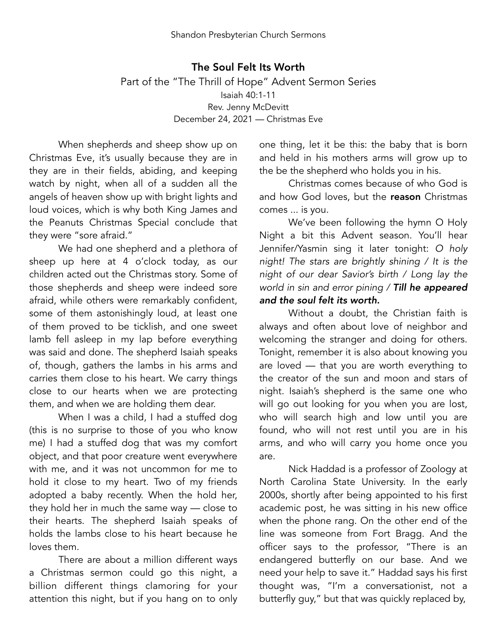The Soul Felt Its Worth Part of the "The Thrill of Hope" Advent Sermon Series Isaiah 40:1-11 Rev. Jenny McDevitt December 24, 2021 — Christmas Eve

When shepherds and sheep show up on Christmas Eve, it's usually because they are in they are in their fields, abiding, and keeping watch by night, when all of a sudden all the angels of heaven show up with bright lights and loud voices, which is why both King James and the Peanuts Christmas Special conclude that they were "sore afraid."

We had one shepherd and a plethora of sheep up here at 4 o'clock today, as our children acted out the Christmas story. Some of those shepherds and sheep were indeed sore afraid, while others were remarkably confident, some of them astonishingly loud, at least one of them proved to be ticklish, and one sweet lamb fell asleep in my lap before everything was said and done. The shepherd Isaiah speaks of, though, gathers the lambs in his arms and carries them close to his heart. We carry things close to our hearts when we are protecting them, and when we are holding them dear.

When I was a child, I had a stuffed dog (this is no surprise to those of you who know me) I had a stuffed dog that was my comfort object, and that poor creature went everywhere with me, and it was not uncommon for me to hold it close to my heart. Two of my friends adopted a baby recently. When the hold her, they hold her in much the same way — close to their hearts. The shepherd Isaiah speaks of holds the lambs close to his heart because he loves them.

There are about a million different ways a Christmas sermon could go this night, a billion different things clamoring for your attention this night, but if you hang on to only one thing, let it be this: the baby that is born and held in his mothers arms will grow up to the be the shepherd who holds you in his.

Christmas comes because of who God is and how God loves, but the reason Christmas comes ... is you.

We've been following the hymn O Holy Night a bit this Advent season. You'll hear Jennifer/Yasmin sing it later tonight: *O holy night! The stars are brightly shining / It is the night of our dear Savior's birth / Long lay the world in sin and error pining / Till he appeared and the soul felt its worth.* 

Without a doubt, the Christian faith is always and often about love of neighbor and welcoming the stranger and doing for others. Tonight, remember it is also about knowing you are loved — that you are worth everything to the creator of the sun and moon and stars of night. Isaiah's shepherd is the same one who will go out looking for you when you are lost, who will search high and low until you are found, who will not rest until you are in his arms, and who will carry you home once you are.

Nick Haddad is a professor of Zoology at North Carolina State University. In the early 2000s, shortly after being appointed to his first academic post, he was sitting in his new office when the phone rang. On the other end of the line was someone from Fort Bragg. And the officer says to the professor, "There is an endangered butterfly on our base. And we need your help to save it." Haddad says his first thought was, "I'm a conversationist, not a butterfly guy," but that was quickly replaced by,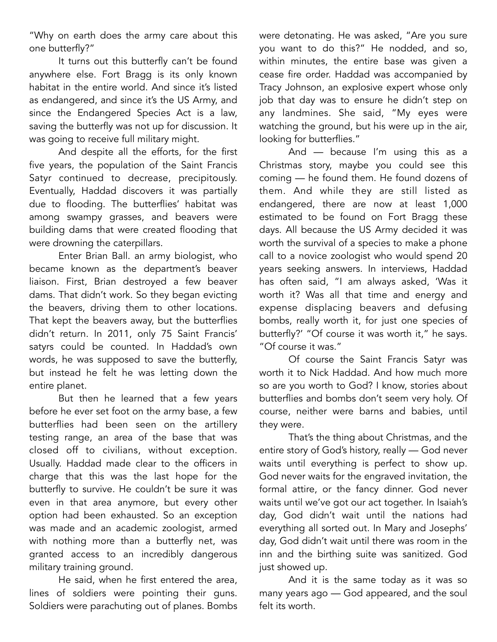"Why on earth does the army care about this one butterfly?"

It turns out this butterfly can't be found anywhere else. Fort Bragg is its only known habitat in the entire world. And since it's listed as endangered, and since it's the US Army, and since the Endangered Species Act is a law, saving the butterfly was not up for discussion. It was going to receive full military might.

And despite all the efforts, for the first five years, the population of the Saint Francis Satyr continued to decrease, precipitously. Eventually, Haddad discovers it was partially due to flooding. The butterflies' habitat was among swampy grasses, and beavers were building dams that were created flooding that were drowning the caterpillars.

Enter Brian Ball. an army biologist, who became known as the department's beaver liaison. First, Brian destroyed a few beaver dams. That didn't work. So they began evicting the beavers, driving them to other locations. That kept the beavers away, but the butterflies didn't return. In 2011, only 75 Saint Francis' satyrs could be counted. In Haddad's own words, he was supposed to save the butterfly, but instead he felt he was letting down the entire planet.

But then he learned that a few years before he ever set foot on the army base, a few butterflies had been seen on the artillery testing range, an area of the base that was closed off to civilians, without exception. Usually. Haddad made clear to the officers in charge that this was the last hope for the butterfly to survive. He couldn't be sure it was even in that area anymore, but every other option had been exhausted. So an exception was made and an academic zoologist, armed with nothing more than a butterfly net, was granted access to an incredibly dangerous military training ground.

He said, when he first entered the area, lines of soldiers were pointing their guns. Soldiers were parachuting out of planes. Bombs were detonating. He was asked, "Are you sure you want to do this?" He nodded, and so, within minutes, the entire base was given a cease fire order. Haddad was accompanied by Tracy Johnson, an explosive expert whose only job that day was to ensure he didn't step on any landmines. She said, "My eyes were watching the ground, but his were up in the air, looking for butterflies."

And — because I'm using this as a Christmas story, maybe you could see this coming — he found them. He found dozens of them. And while they are still listed as endangered, there are now at least 1,000 estimated to be found on Fort Bragg these days. All because the US Army decided it was worth the survival of a species to make a phone call to a novice zoologist who would spend 20 years seeking answers. In interviews, Haddad has often said, "I am always asked, 'Was it worth it? Was all that time and energy and expense displacing beavers and defusing bombs, really worth it, for just one species of butterfly?' "Of course it was worth it," he says. "Of course it was."

Of course the Saint Francis Satyr was worth it to Nick Haddad. And how much more so are you worth to God? I know, stories about butterflies and bombs don't seem very holy. Of course, neither were barns and babies, until they were.

That's the thing about Christmas, and the entire story of God's history, really — God never waits until everything is perfect to show up. God never waits for the engraved invitation, the formal attire, or the fancy dinner. God never waits until we've got our act together. In Isaiah's day, God didn't wait until the nations had everything all sorted out. In Mary and Josephs' day, God didn't wait until there was room in the inn and the birthing suite was sanitized. God just showed up.

And it is the same today as it was so many years ago — God appeared, and the soul felt its worth.